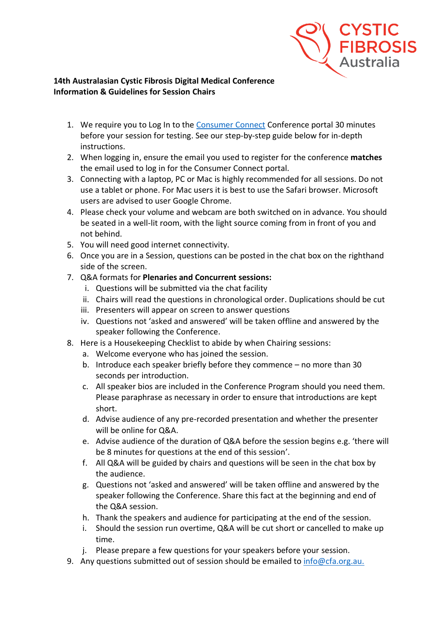

## **14th Australasian Cystic Fibrosis Digital Medical Conference Information & Guidelines for Session Chairs**

- 1. We require you to Log In to the [Consumer Connect](https://cfa.padlokt.com/) Conference portal 30 minutes before your session for testing. See our step-by-step guide below for in-depth instructions.
- 2. When logging in, ensure the email you used to register for the conference **matches** the email used to log in for the Consumer Connect portal.
- 3. Connecting with a laptop, PC or Mac is highly recommended for all sessions. Do not use a tablet or phone. For Mac users it is best to use the Safari browser. Microsoft users are advised to user Google Chrome.
- 4. Please check your volume and webcam are both switched on in advance. You should be seated in a well-lit room, with the light source coming from in front of you and not behind.
- 5. You will need good internet connectivity.
- 6. Once you are in a Session, questions can be posted in the chat box on the righthand side of the screen.
- 7. Q&A formats for **Plenaries and Concurrent sessions:**
	- i. Questions will be submitted via the chat facility
	- ii. Chairs will read the questions in chronological order. Duplications should be cut
	- iii. Presenters will appear on screen to answer questions
	- iv. Questions not 'asked and answered' will be taken offline and answered by the speaker following the Conference.
- 8. Here is a Housekeeping Checklist to abide by when Chairing sessions:
	- a. Welcome everyone who has joined the session.
	- b. Introduce each speaker briefly before they commence no more than 30 seconds per introduction.
	- c. All speaker bios are included in the Conference Program should you need them. Please paraphrase as necessary in order to ensure that introductions are kept short.
	- d. Advise audience of any pre-recorded presentation and whether the presenter will be online for Q&A.
	- e. Advise audience of the duration of Q&A before the session begins e.g. 'there will be 8 minutes for questions at the end of this session'.
	- f. All Q&A will be guided by chairs and questions will be seen in the chat box by the audience.
	- g. Questions not 'asked and answered' will be taken offline and answered by the speaker following the Conference. Share this fact at the beginning and end of the Q&A session.
	- h. Thank the speakers and audience for participating at the end of the session.
	- i. Should the session run overtime, Q&A will be cut short or cancelled to make up time.
	- j. Please prepare a few questions for your speakers before your session.
- 9. Any questions submitted out of session should be emailed to [info@cfa.org.au.](mailto:info@cfa.org.au)